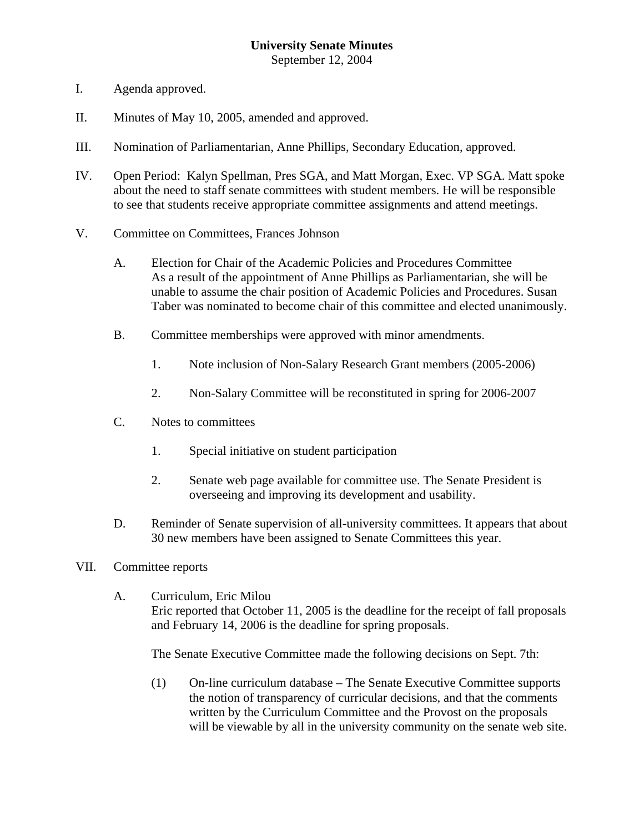September 12, 2004

- I. Agenda approved.
- II. Minutes of May 10, 2005, amended and approved.
- III. Nomination of Parliamentarian, Anne Phillips, Secondary Education, approved.
- IV. Open Period: Kalyn Spellman, Pres SGA, and Matt Morgan, Exec. VP SGA. Matt spoke about the need to staff senate committees with student members. He will be responsible to see that students receive appropriate committee assignments and attend meetings.
- V. Committee on Committees, Frances Johnson
	- A. Election for Chair of the Academic Policies and Procedures Committee As a result of the appointment of Anne Phillips as Parliamentarian, she will be unable to assume the chair position of Academic Policies and Procedures. Susan Taber was nominated to become chair of this committee and elected unanimously.
	- B. Committee memberships were approved with minor amendments.
		- 1. Note inclusion of Non-Salary Research Grant members (2005-2006)
		- 2. Non-Salary Committee will be reconstituted in spring for 2006-2007
	- C. Notes to committees
		- 1. Special initiative on student participation
		- 2. Senate web page available for committee use. The Senate President is overseeing and improving its development and usability.
	- D. Reminder of Senate supervision of all-university committees. It appears that about 30 new members have been assigned to Senate Committees this year.
- VII. Committee reports
	- A. Curriculum, Eric Milou Eric reported that October 11, 2005 is the deadline for the receipt of fall proposals and February 14, 2006 is the deadline for spring proposals.

The Senate Executive Committee made the following decisions on Sept. 7th:

(1) On-line curriculum database – The Senate Executive Committee supports the notion of transparency of curricular decisions, and that the comments written by the Curriculum Committee and the Provost on the proposals will be viewable by all in the university community on the senate web site.